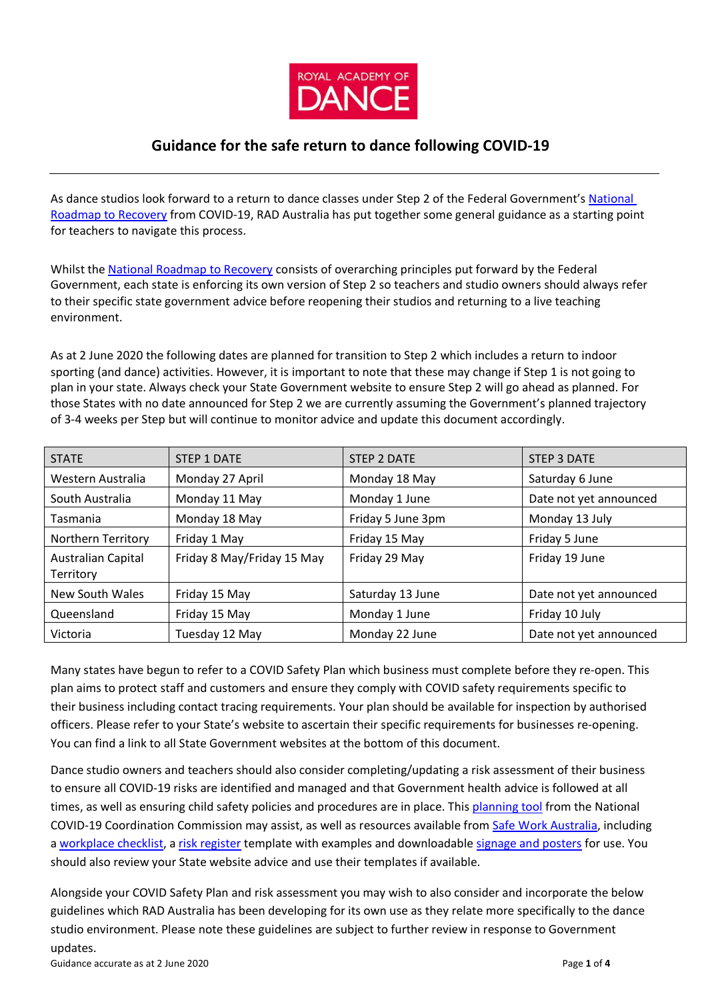

# **Guidance for the safe return to dance following COVID-19**

As dance studios look forward to a return to dance classes under Step 2 of the Federal Government'[s National](https://www.pm.gov.au/sites/default/files/files/covid-safe-australia-roadmap.pdf)  [Roadmap to Recovery](https://www.pm.gov.au/sites/default/files/files/covid-safe-australia-roadmap.pdf) from COVID-19, RAD Australia has put together some general guidance as a starting point for teachers to navigate this process.

Whilst the [National Roadmap to Recovery](https://www.pm.gov.au/sites/default/files/files/covid-safe-australia-roadmap.pdf) consists of overarching principles put forward by the Federal Government, each state is enforcing its own version of Step 2 so teachers and studio owners should always refer to their specific state government advice before reopening their studios and returning to a live teaching environment.

As at 2 June 2020 the following dates are planned for transition to Step 2 which includes a return to indoor sporting (and dance) activities. However, it is important to note that these may change if Step 1 is not going to plan in your state. Always check your State Government website to ensure Step 2 will go ahead as planned. For those States with no date announced for Step 2 we are currently assuming the Government's planned trajectory of 3-4 weeks per Step but will continue to monitor advice and update this document accordingly.

| <b>STATE</b>                    | STEP 1 DATE                | STEP 2 DATE       | STEP 3 DATE            |
|---------------------------------|----------------------------|-------------------|------------------------|
| Western Australia               | Monday 27 April            | Monday 18 May     | Saturday 6 June        |
| South Australia                 | Monday 11 May              | Monday 1 June     | Date not yet announced |
| Tasmania                        | Monday 18 May              | Friday 5 June 3pm | Monday 13 July         |
| Northern Territory              | Friday 1 May               | Friday 15 May     | Friday 5 June          |
| Australian Capital<br>Territory | Friday 8 May/Friday 15 May | Friday 29 May     | Friday 19 June         |
| New South Wales                 | Friday 15 May              | Saturday 13 June  | Date not yet announced |
| Queensland                      | Friday 15 May              | Monday 1 June     | Friday 10 July         |
| Victoria                        | Tuesday 12 May             | Monday 22 June    | Date not yet announced |

Many states have begun to refer to a COVID Safety Plan which business must complete before they re-open. This plan aims to protect staff and customers and ensure they comply with COVID safety requirements specific to their business including contact tracing requirements. Your plan should be available for inspection by authorised officers. Please refer to your State's website to ascertain their specific requirements for businesses re-opening. You can find a link to all State Government websites at the bottom of this document.

Dance studio owners and teachers should also consider completing/updating a risk assessment of their business to ensure all COVID-19 risks are identified and managed and that Government health advice is followed at all times, as well as ensuring child safety policies and procedures are in place. This [planning tool](https://www.pmc.gov.au/nccc/resources/planning-tool-help-businesses-reopen-and-be-covidsafe) from the National COVID-19 Coordination Commission may assist, as well as resources available from [Safe Work Australia, i](https://www.safeworkaustralia.gov.au/covid-19-information-workplaces)ncluding a [workplace checklist,](https://www.safeworkaustralia.gov.au/doc/workplace-checklist-covid-19) [a risk register](https://www.safeworkaustralia.gov.au/doc/template-and-example-covid-19-risk-register) template with examples and downloadable [signage and posters](https://www.safeworkaustralia.gov.au/doc/signage-and-posters-covid-19) for use. You should also review your State website advice and use their templates if available.

Alongside your COVID Safety Plan and risk assessment you may wish to also consider and incorporate the below guidelines which RAD Australia has been developing for its own use as they relate more specifically to the dance studio environment. Please note these guidelines are subject to further review in response to Government updates.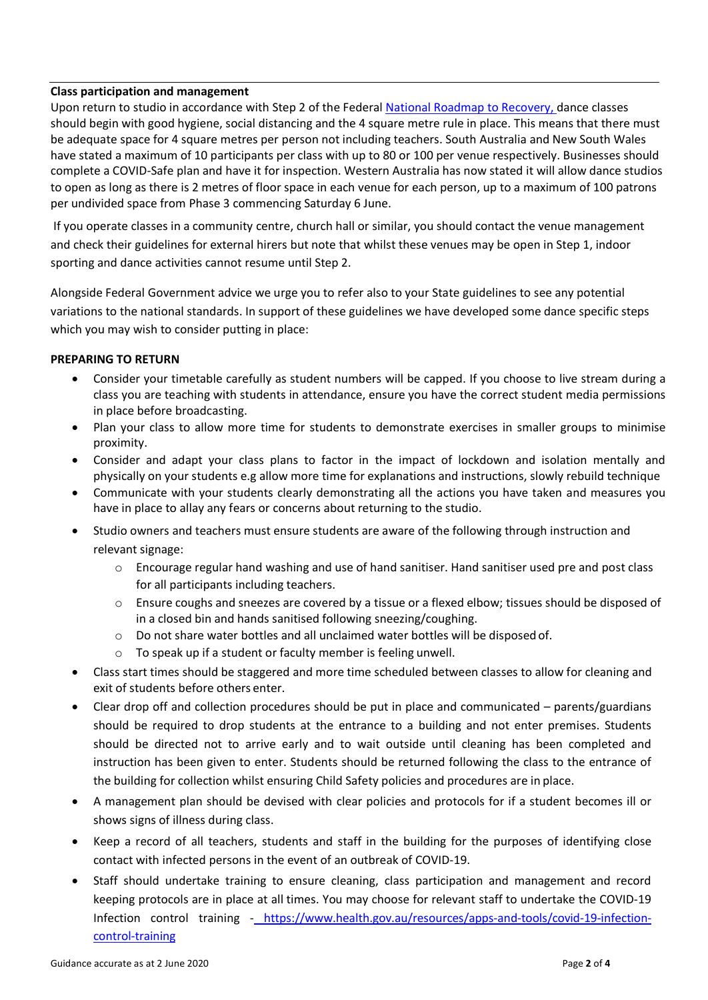# **Class participation and management**

Upon return to studio in accordance with Step 2 of the Federal [National Roadmap to Recovery,](https://www.pm.gov.au/sites/default/files/files/covid-safe-australia-roadmap.pdf) dance classes should begin with good hygiene, social distancing and the 4 square metre rule in place. This means that there must be adequate space for 4 square metres per person not including teachers. South Australia and New South Wales have stated a maximum of 10 participants per class with up to 80 or 100 per venue respectively. Businesses should complete a COVID-Safe plan and have it for inspection. Western Australia has now stated it will allow dance studios to open as long as there is 2 metres of floor space in each venue for each person, up to a maximum of 100 patrons per undivided space from Phase 3 commencing Saturday 6 June.

If you operate classes in a community centre, church hall or similar, you should contact the venue management and check their guidelines for external hirers but note that whilst these venues may be open in Step 1, indoor sporting and dance activities cannot resume until Step 2.

Alongside Federal Government advice we urge you to refer also to your State guidelines to see any potential variations to the national standards. In support of these guidelines we have developed some dance specific steps which you may wish to consider putting in place:

# **PREPARING TO RETURN**

- Consider your timetable carefully as student numbers will be capped. If you choose to live stream during a class you are teaching with students in attendance, ensure you have the correct student media permissions in place before broadcasting.
- Plan your class to allow more time for students to demonstrate exercises in smaller groups to minimise proximity.
- Consider and adapt your class plans to factor in the impact of lockdown and isolation mentally and physically on your students e.g allow more time for explanations and instructions, slowly rebuild technique
- Communicate with your students clearly demonstrating all the actions you have taken and measures you have in place to allay any fears or concerns about returning to the studio.
- Studio owners and teachers must ensure students are aware of the following through instruction and relevant signage:
	- o Encourage regular hand washing and use of hand sanitiser. Hand sanitiser used pre and post class for all participants including teachers.
	- o Ensure coughs and sneezes are covered by a tissue or a flexed elbow; tissues should be disposed of in a closed bin and hands sanitised following sneezing/coughing.
	- $\circ$  Do not share water bottles and all unclaimed water bottles will be disposed of.
	- o To speak up if a student or faculty member is feeling unwell.
- Class start times should be staggered and more time scheduled between classes to allow for cleaning and exit of students before others enter.
- Clear drop off and collection procedures should be put in place and communicated parents/guardians should be required to drop students at the entrance to a building and not enter premises. Students should be directed not to arrive early and to wait outside until cleaning has been completed and instruction has been given to enter. Students should be returned following the class to the entrance of the building for collection whilst ensuring Child Safety policies and procedures are in place.
- A management plan should be devised with clear policies and protocols for if a student becomes ill or shows signs of illness during class.
- Keep a record of all teachers, students and staff in the building for the purposes of identifying close contact with infected persons in the event of an outbreak of COVID-19.
- Staff should undertake training to ensure cleaning, class participation and management and record keeping protocols are in place at all times. You may choose for relevant staff to undertake the COVID-19 Infection control training - [https://www.health.gov.au/resources/apps-and-tools/covid-19-infection](https://aus01.safelinks.protection.outlook.com/?url=https%3A%2F%2Fwww.health.gov.au%2Fresources%2Fapps-and-tools%2Fcovid-19-infection-control-training&data=02%7C01%7Cralphc%40solutionsie.com.au%7Cd6d79776216c44ec796108d7d517d635%7Cd0091021183a4c7a853f4b5a48cafc50%7C0%7C0%7C637212170733563434&sdata=syGki4%2F%2FhStRdfhWQ54KmXjKB0Ni61FJwRGZ7N9BxtU%3D&reserved=0)[control-training](https://aus01.safelinks.protection.outlook.com/?url=https%3A%2F%2Fwww.health.gov.au%2Fresources%2Fapps-and-tools%2Fcovid-19-infection-control-training&data=02%7C01%7Cralphc%40solutionsie.com.au%7Cd6d79776216c44ec796108d7d517d635%7Cd0091021183a4c7a853f4b5a48cafc50%7C0%7C0%7C637212170733563434&sdata=syGki4%2F%2FhStRdfhWQ54KmXjKB0Ni61FJwRGZ7N9BxtU%3D&reserved=0)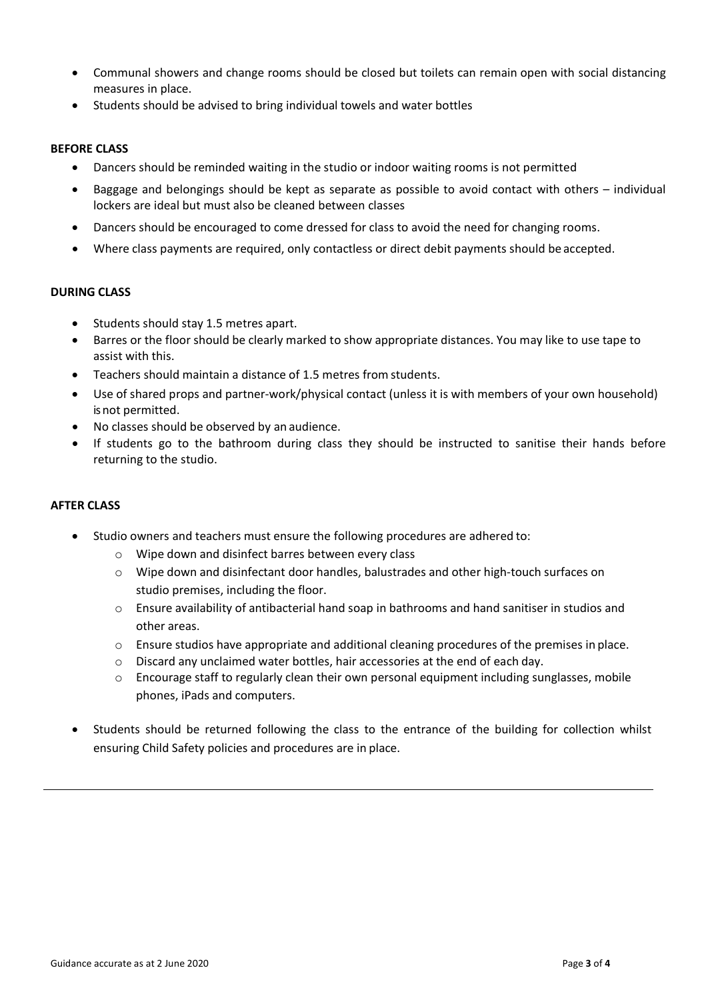- Communal showers and change rooms should be closed but toilets can remain open with social distancing measures in place.
- Students should be advised to bring individual towels and water bottles

# **BEFORE CLASS**

- Dancers should be reminded waiting in the studio or indoor waiting rooms is not permitted
- Baggage and belongings should be kept as separate as possible to avoid contact with others individual lockers are ideal but must also be cleaned between classes
- Dancers should be encouraged to come dressed for class to avoid the need for changing rooms.
- Where class payments are required, only contactless or direct debit payments should be accepted.

# **DURING CLASS**

- Students should stay 1.5 metres apart.
- Barres or the floor should be clearly marked to show appropriate distances. You may like to use tape to assist with this.
- Teachers should maintain a distance of 1.5 metres from students.
- Use of shared props and partner-work/physical contact (unless it is with members of your own household) is not permitted.
- No classes should be observed by an audience.
- If students go to the bathroom during class they should be instructed to sanitise their hands before returning to the studio.

# **AFTER CLASS**

- Studio owners and teachers must ensure the following procedures are adhered to:
	- o Wipe down and disinfect barres between every class
	- o Wipe down and disinfectant door handles, balustrades and other high-touch surfaces on studio premises, including the floor.
	- o Ensure availability of antibacterial hand soap in bathrooms and hand sanitiser in studios and other areas.
	- $\circ$  Ensure studios have appropriate and additional cleaning procedures of the premises in place.
	- o Discard any unclaimed water bottles, hair accessories at the end of each day.
	- $\circ$  Encourage staff to regularly clean their own personal equipment including sunglasses, mobile phones, iPads and computers.
- Students should be returned following the class to the entrance of the building for collection whilst ensuring Child Safety policies and procedures are in place.